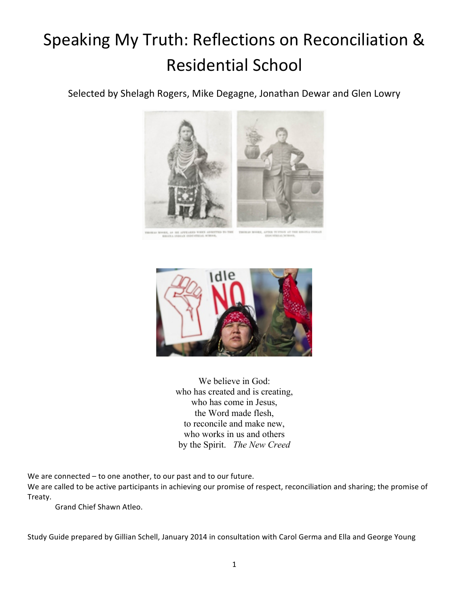# Speaking My Truth: Reflections on Reconciliation & **Residential School**

Selected by Shelagh Rogers, Mike Degagne, Jonathan Dewar and Glen Lowry







We believe in God: who has created and is creating, who has come in Jesus, the Word made flesh, to reconcile and make new, who works in us and others by the Spirit. *The New Creed*

We are connected – to one another, to our past and to our future.

We are called to be active participants in achieving our promise of respect, reconciliation and sharing; the promise of Treaty.

Grand Chief Shawn Atleo.

Study Guide prepared by Gillian Schell, January 2014 in consultation with Carol Germa and Ella and George Young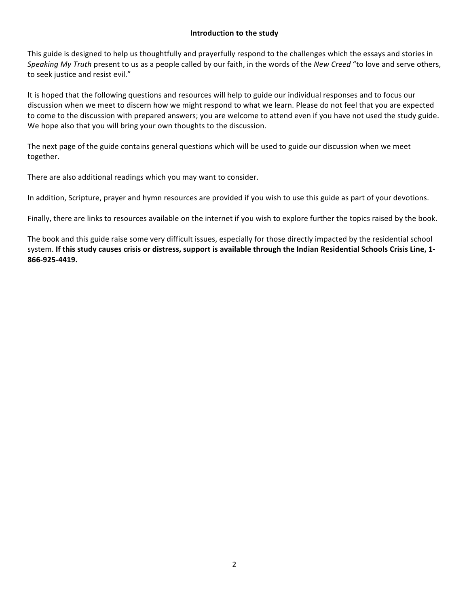## **Introduction to the study**

This guide is designed to help us thoughtfully and prayerfully respond to the challenges which the essays and stories in *Speaking My Truth* present to us as a people called by our faith, in the words of the *New Creed* "to love and serve others, to seek justice and resist evil."

It is hoped that the following questions and resources will help to guide our individual responses and to focus our discussion when we meet to discern how we might respond to what we learn. Please do not feel that you are expected to come to the discussion with prepared answers; you are welcome to attend even if you have not used the study guide. We hope also that you will bring your own thoughts to the discussion.

The next page of the guide contains general questions which will be used to guide our discussion when we meet together.

There are also additional readings which you may want to consider.

In addition, Scripture, prayer and hymn resources are provided if you wish to use this guide as part of your devotions.

Finally, there are links to resources available on the internet if you wish to explore further the topics raised by the book.

The book and this guide raise some very difficult issues, especially for those directly impacted by the residential school system. If this study causes crisis or distress, support is available through the Indian Residential Schools Crisis Line, 1-**866<925<4419.**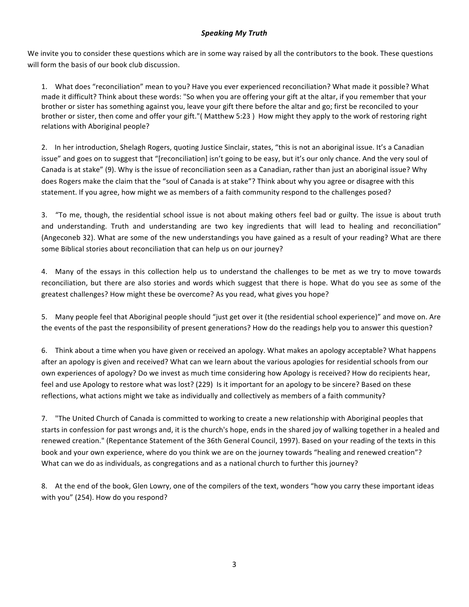## *Speaking)My Truth*

We invite you to consider these questions which are in some way raised by all the contributors to the book. These questions will form the basis of our book club discussion.

1. What does "reconciliation" mean to you? Have you ever experienced reconciliation? What made it possible? What made it difficult? Think about these words: "So when you are offering your gift at the altar, if you remember that your brother or sister has something against you, leave your gift there before the altar and go; first be reconciled to your brother or sister, then come and offer your gift."( Matthew 5:23) How might they apply to the work of restoring right relations with Aboriginal people?

2. In her introduction, Shelagh Rogers, quoting Justice Sinclair, states, "this is not an aboriginal issue. It's a Canadian issue" and goes on to suggest that "[reconciliation] isn't going to be easy, but it's our only chance. And the very soul of Canada is at stake" (9). Why is the issue of reconciliation seen as a Canadian, rather than just an aboriginal issue? Why does Rogers make the claim that the "soul of Canada is at stake"? Think about why you agree or disagree with this statement. If you agree, how might we as members of a faith community respond to the challenges posed?

3. "To me, though, the residential school issue is not about making others feel bad or guilty. The issue is about truth and understanding. Truth and understanding are two key ingredients that will lead to healing and reconciliation" (Angeconeb 32). What are some of the new understandings you have gained as a result of your reading? What are there some Biblical stories about reconciliation that can help us on our journey?

4. Many of the essays in this collection help us to understand the challenges to be met as we try to move towards reconciliation, but there are also stories and words which suggest that there is hope. What do you see as some of the greatest challenges? How might these be overcome? As you read, what gives you hope?

5. Many people feel that Aboriginal people should "just get over it (the residential school experience)" and move on. Are the events of the past the responsibility of present generations? How do the readings help you to answer this question?

6. Think about a time when you have given or received an apology. What makes an apology acceptable? What happens after an apology is given and received? What can we learn about the various apologies for residential schools from our own experiences of apology? Do we invest as much time considering how Apology is received? How do recipients hear, feel and use Apology to restore what was lost? (229) Is it important for an apology to be sincere? Based on these reflections, what actions might we take as individually and collectively as members of a faith community?

7. "The United Church of Canada is committed to working to create a new relationship with Aboriginal peoples that starts in confession for past wrongs and, it is the church's hope, ends in the shared joy of walking together in a healed and renewed creation." (Repentance Statement of the 36th General Council, 1997). Based on your reading of the texts in this book and your own experience, where do you think we are on the journey towards "healing and renewed creation"? What can we do as individuals, as congregations and as a national church to further this journey?

8. At the end of the book, Glen Lowry, one of the compilers of the text, wonders "how you carry these important ideas with you" (254). How do you respond?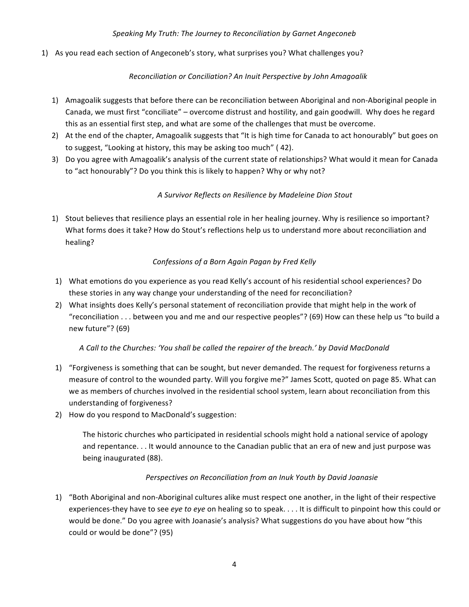# Speaking My Truth: The Journey to Reconciliation by Garnet Angeconeb

1) As you read each section of Angeconeb's story, what surprises you? What challenges you?

# *Reconciliation)or)Conciliation?)An)Inuit)Perspective)by)John)Amagoalik*

- 1) Amagoalik suggests that before there can be reconciliation between Aboriginal and non-Aboriginal people in Canada, we must first "conciliate" – overcome distrust and hostility, and gain goodwill. Why does he regard this as an essential first step, and what are some of the challenges that must be overcome.
- 2) At the end of the chapter, Amagoalik suggests that "It is high time for Canada to act honourably" but goes on to suggest, "Looking at history, this may be asking too much" (42).
- 3) Do you agree with Amagoalik's analysis of the current state of relationships? What would it mean for Canada to "act honourably"? Do you think this is likely to happen? Why or why not?

# *A)Survivor)Reflects)on)Resilience)by)Madeleine)Dion)Stout*

1) Stout believes that resilience plays an essential role in her healing journey. Why is resilience so important? What forms does it take? How do Stout's reflections help us to understand more about reconciliation and healing?

# Confessions of a Born Again Pagan by Fred Kelly

- 1) What emotions do you experience as you read Kelly's account of his residential school experiences? Do these stories in any way change your understanding of the need for reconciliation?
- 2) What insights does Kelly's personal statement of reconciliation provide that might help in the work of "reconciliation . . . between you and me and our respective peoples"? (69) How can these help us "to build a new future"? (69)

## *A)Call)to)the)Churches:)'You)shall)be)called)the)repairer)of)the)breach.' by)David)MacDonald*

- 1) "Forgiveness is something that can be sought, but never demanded. The request for forgiveness returns a measure of control to the wounded party. Will you forgive me?" James Scott, quoted on page 85. What can we as members of churches involved in the residential school system, learn about reconciliation from this understanding of forgiveness?
- 2) How do you respond to MacDonald's suggestion:

The historic churches who participated in residential schools might hold a national service of apology and repentance. . . It would announce to the Canadian public that an era of new and just purpose was being inaugurated (88).

## *Perspectives)on)Reconciliation)from)an)Inuk Youth)by)David)Joanasie*

1) "Both Aboriginal and non-Aboriginal cultures alike must respect one another, in the light of their respective experiences-they have to see *eye to eye* on healing so to speak. . . . It is difficult to pinpoint how this could or would be done." Do you agree with Joanasie's analysis? What suggestions do you have about how "this could or would be done"? (95)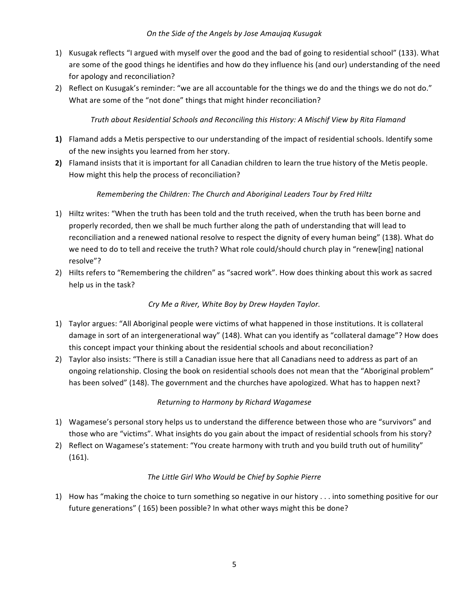## *On)the)Side)of)the)Angels)by)Jose)Amaujaq)Kusugak*

- 1) Kusugak reflects "I argued with myself over the good and the bad of going to residential school" (133). What are some of the good things he identifies and how do they influence his (and our) understanding of the need for apology and reconciliation?
- 2) Reflect on Kusugak's reminder: "we are all accountable for the things we do and the things we do not do." What are some of the "not done" things that might hinder reconciliation?

# *Truth)about)Residential)Schools)and)Reconciling)this)History:)A)Mischif)View)by)Rita)Flamand*

- **1)** Flamand adds a Metis perspective to our understanding of the impact of residential schools. Identify some of the new insights you learned from her story.
- **2)** Flamand insists that it is important for all Canadian children to learn the true history of the Metis people. How might this help the process of reconciliation?

# *Remembering the Children: The Church and Aboriginal Leaders Tour by Fred Hiltz*

- 1) Hiltz writes: "When the truth has been told and the truth received, when the truth has been borne and properly recorded, then we shall be much further along the path of understanding that will lead to reconciliation and a renewed national resolve to respect the dignity of every human being" (138). What do we need to do to tell and receive the truth? What role could/should church play in "renew[ing] national resolve"?
- 2) Hilts refers to "Remembering the children" as "sacred work". How does thinking about this work as sacred help us in the task?

# Cry Me a River, White Boy by Drew Hayden Taylor.

- 1) Taylor argues: "All Aboriginal people were victims of what happened in those institutions. It is collateral damage in sort of an intergenerational way" (148). What can you identify as "collateral damage"? How does this concept impact your thinking about the residential schools and about reconciliation?
- 2) Taylor also insists: "There is still a Canadian issue here that all Canadians need to address as part of an ongoing relationship. Closing the book on residential schools does not mean that the "Aboriginal problem" has been solved" (148). The government and the churches have apologized. What has to happen next?

# *Returning)to)Harmony)by)Richard)Wagamese*

- 1) Wagamese's personal story helps us to understand the difference between those who are "survivors" and those who are "victims". What insights do you gain about the impact of residential schools from his story?
- 2) Reflect on Wagamese's statement: "You create harmony with truth and you build truth out of humility" (161).

# *The)Little)Girl)Who)Would)be)Chief)by)Sophie)Pierre*

1) How has "making the choice to turn something so negative in our history . . . into something positive for our future generations" (165) been possible? In what other ways might this be done?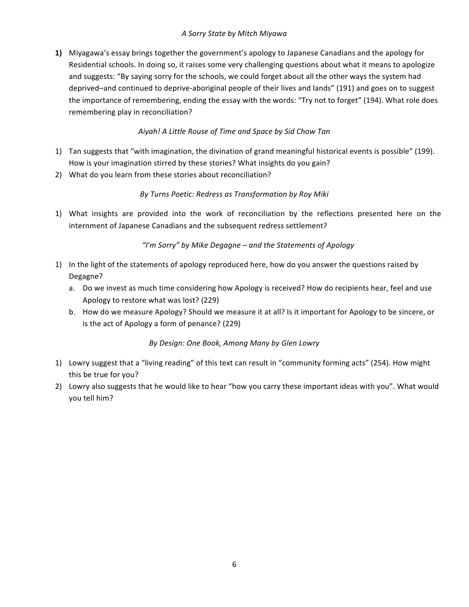# *A)Sorry)State)by)Mitch)Miyawa*

**1)** Miyagawa's essay brings together the government's apology to Japanese Canadians and the apology for Residential schools. In doing so, it raises some very challenging questions about what it means to apologize and suggests: "By saying sorry for the schools, we could forget about all the other ways the system had deprived–and continued to deprive-aboriginal people of their lives and lands" (191) and goes on to suggest the importance of remembering, ending the essay with the words: "Try not to forget" (194). What role does remembering play in reconciliation?

# Aiyah! A Little Rouse of Time and Space by Sid Chow Tan

- 1) Tan suggests that "with imagination, the divination of grand meaningful historical events is possible" (199). How is your imagination stirred by these stories? What insights do you gain?
- 2) What do you learn from these stories about reconciliation?

# *By)Turns)Poetic:)Redress)as)Transformation)by)Roy)Miki*

1) What insights are provided into the work of reconciliation by the reflections presented here on the internment of Japanese Canadians and the subsequent redress settlement?

# *"I'm)Sorry")by)Mike)Degagne)– and)the)Statements)of)Apology*

- 1) In the light of the statements of apology reproduced here, how do you answer the questions raised by Degagne?
	- a. Do we invest as much time considering how Apology is received? How do recipients hear, feel and use Apology to restore what was lost? (229)
	- b. How do we measure Apology? Should we measure it at all? Is it important for Apology to be sincere, or is the act of Apology a form of penance? (229)

# *By Design: One Book, Among Many by Glen Lowry*

- 1) Lowry suggest that a "living reading" of this text can result in "community forming acts" (254). How might this be true for you?
- 2) Lowry also suggests that he would like to hear "how you carry these important ideas with you". What would you tell him?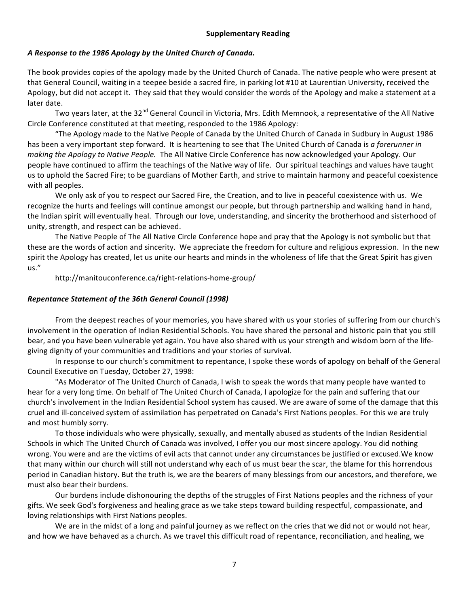# *A)Response)to)the)1986)Apology by)the)United)Church)of)Canada.*

The book provides copies of the apology made by the United Church of Canada. The native people who were present at that General Council, waiting in a teepee beside a sacred fire, in parking lot #10 at Laurentian University, received the Apology, but did not accept it. They said that they would consider the words of the Apology and make a statement at a later date.

Two years later, at the 32<sup>nd</sup> General Council in Victoria, Mrs. Edith Memnook, a representative of the All Native Circle Conference constituted at that meeting, responded to the 1986 Apology:

"The Apology made to the Native People of Canada by the United Church of Canada in Sudbury in August 1986 has been a very important step forward. It is heartening to see that The United Church of Canada is a forerunner in *making the Apology to Native People.* The All Native Circle Conference has now acknowledged your Apology. Our people have continued to affirm the teachings of the Native way of life. Our spiritual teachings and values have taught us to uphold the Sacred Fire; to be guardians of Mother Earth, and strive to maintain harmony and peaceful coexistence with all peoples.

We only ask of you to respect our Sacred Fire, the Creation, and to live in peaceful coexistence with us. We recognize the hurts and feelings will continue amongst our people, but through partnership and walking hand in hand, the Indian spirit will eventually heal. Through our love, understanding, and sincerity the brotherhood and sisterhood of unity, strength, and respect can be achieved.

The Native People of The All Native Circle Conference hope and pray that the Apology is not symbolic but that these are the words of action and sincerity. We appreciate the freedom for culture and religious expression. In the new spirit the Apology has created, let us unite our hearts and minds in the wholeness of life that the Great Spirit has given us."

http://manitouconference.ca/right-relations-home-group/

## *Repentance Statement of the 36th General Council (1998)*

From the deepest reaches of your memories, you have shared with us your stories of suffering from our church's involvement in the operation of Indian Residential Schools. You have shared the personal and historic pain that you still bear, and you have been vulnerable yet again. You have also shared with us your strength and wisdom born of the lifegiving dignity of your communities and traditions and your stories of survival.

In response to our church's commitment to repentance, I spoke these words of apology on behalf of the General Council Executive on Tuesday, October 27, 1998:

"As Moderator of The United Church of Canada, I wish to speak the words that many people have wanted to hear for a very long time. On behalf of The United Church of Canada, I apologize for the pain and suffering that our church's involvement in the Indian Residential School system has caused. We are aware of some of the damage that this cruel and ill-conceived system of assimilation has perpetrated on Canada's First Nations peoples. For this we are truly and most humbly sorry.

To those individuals who were physically, sexually, and mentally abused as students of the Indian Residential Schools in which The United Church of Canada was involved, I offer you our most sincere apology. You did nothing wrong. You were and are the victims of evil acts that cannot under any circumstances be justified or excused.We know that many within our church will still not understand why each of us must bear the scar, the blame for this horrendous period in Canadian history. But the truth is, we are the bearers of many blessings from our ancestors, and therefore, we must also bear their burdens.

Our burdens include dishonouring the depths of the struggles of First Nations peoples and the richness of your gifts. We seek God's forgiveness and healing grace as we take steps toward building respectful, compassionate, and loving relationships with First Nations peoples.

We are in the midst of a long and painful journey as we reflect on the cries that we did not or would not hear, and how we have behaved as a church. As we travel this difficult road of repentance, reconciliation, and healing, we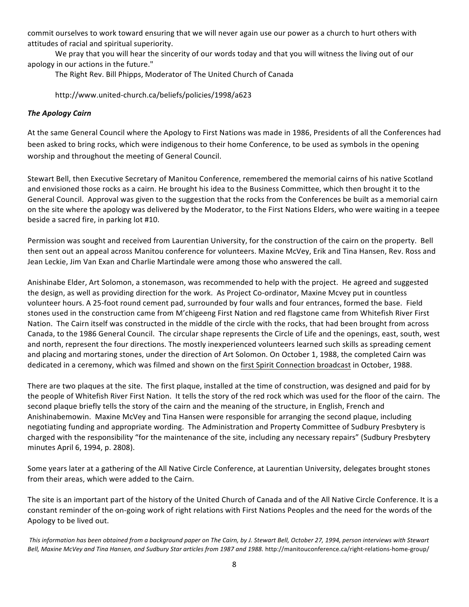commit ourselves to work toward ensuring that we will never again use our power as a church to hurt others with attitudes of racial and spiritual superiority.

We pray that you will hear the sincerity of our words today and that you will witness the living out of our apology in our actions in the future."

The Right Rev. Bill Phipps, Moderator of The United Church of Canada

http://www.united-church.ca/beliefs/policies/1998/a623

## **The Apology Cairn**

At the same General Council where the Apology to First Nations was made in 1986, Presidents of all the Conferences had been asked to bring rocks, which were indigenous to their home Conference, to be used as symbols in the opening worship and throughout the meeting of General Council.

Stewart Bell, then Executive Secretary of Manitou Conference, remembered the memorial cairns of his native Scotland and envisioned those rocks as a cairn. He brought his idea to the Business Committee, which then brought it to the General Council. Approval was given to the suggestion that the rocks from the Conferences be built as a memorial cairn on the site where the apology was delivered by the Moderator, to the First Nations Elders, who were waiting in a teepee beside a sacred fire, in parking lot #10.

Permission was sought and received from Laurentian University, for the construction of the cairn on the property. Bell then sent out an appeal across Manitou conference for volunteers. Maxine McVey, Erik and Tina Hansen, Rev. Ross and Jean Leckie, Jim Van Exan and Charlie Martindale were among those who answered the call.

Anishinabe Elder, Art Solomon, a stonemason, was recommended to help with the project. He agreed and suggested the design, as well as providing direction for the work. As Project Co-ordinator, Maxine Mcvey put in countless volunteer hours. A 25-foot round cement pad, surrounded by four walls and four entrances, formed the base. Field stones used in the construction came from M'chigeeng First Nation and red flagstone came from Whitefish River First Nation. The Cairn itself was constructed in the middle of the circle with the rocks, that had been brought from across Canada, to the 1986 General Council. The circular shape represents the Circle of Life and the openings, east, south, west and north, represent the four directions. The mostly inexperienced volunteers learned such skills as spreading cement and placing and mortaring stones, under the direction of Art Solomon. On October 1, 1988, the completed Cairn was dedicated in a ceremony, which was filmed and shown on the first Spirit Connection broadcast in October, 1988.

There are two plaques at the site. The first plaque, installed at the time of construction, was designed and paid for by the people of Whitefish River First Nation. It tells the story of the red rock which was used for the floor of the cairn. The second plaque briefly tells the story of the cairn and the meaning of the structure, in English, French and Anishinabemowin. Maxine McVey and Tina Hansen were responsible for arranging the second plaque, including negotiating funding and appropriate wording. The Administration and Property Committee of Sudbury Presbytery is charged with the responsibility "for the maintenance of the site, including any necessary repairs" (Sudbury Presbytery minutes April 6, 1994, p. 2808).

Some years later at a gathering of the All Native Circle Conference, at Laurentian University, delegates brought stones from their areas, which were added to the Cairn.

The site is an important part of the history of the United Church of Canada and of the All Native Circle Conference. It is a constant reminder of the on-going work of right relations with First Nations Peoples and the need for the words of the Apology to be lived out.

This information has been obtained from a background paper on The Cairn, by J. Stewart Bell, October 27, 1994, person interviews with Stewart Bell, Maxine McVey and Tina Hansen, and Sudbury Star articles from 1987 and 1988. http://manitouconference.ca/right-relations-home-group/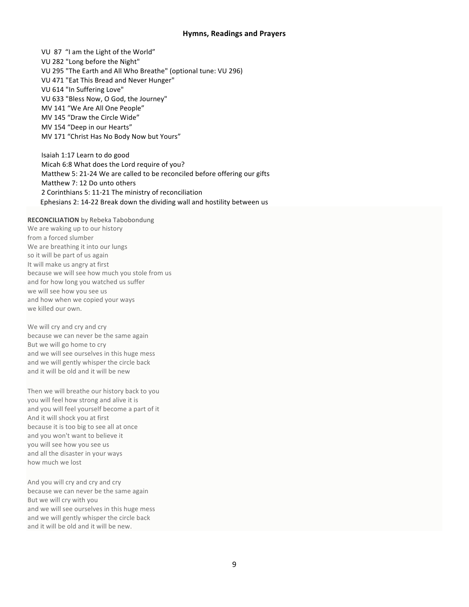#### **Hymns, Readings and\*Prayers**

VU 87 "I am the Light of the World" VU 282 "Long before the Night" VU 295 "The Earth and All Who Breathe" (optional tune: VU 296) VU 471 "Eat This Bread and Never Hunger" VU 614 "In Suffering Love" VU 633 "Bless Now, O God, the Journey" MV 141 "We Are All One People" MV 145 "Draw the Circle Wide" MV 154 "Deep in our Hearts" MV 171 "Christ Has No Body Now but Yours" Isaiah 1:17 Learn to do good

Micah 6:8 What does the Lord require of you? Matthew 5: 21-24 We are called to be reconciled before offering our gifts Matthew 7: 12 Do unto others 2 Corinthians 5: 11-21 The ministry of reconciliation Ephesians 2: 14-22 Break down the dividing wall and hostility between us

**RECONCILIATION** by Rebeka Tabobondung

We are waking up to our history from a forced slumber We are breathing it into our lungs so it will be part of us again It will make us angry at first because we will see how much you stole from us and for how long you watched us suffer we will see how you see us and how when we copied your ways we killed our own.

We will cry and cry and cry because we can never be the same again But we will go home to cry and we will see ourselves in this huge mess and we will gently whisper the circle back and it will be old and it will be new

Then we will breathe our history back to you you will feel how strong and alive it is and you will feel yourself become a part of it And it will shock you at first because it is too big to see all at once and you won't want to believe it you will see how you see us and all the disaster in your ways how much we lost

And you will cry and cry and cry because we can never be the same again But we will cry with you and we will see ourselves in this huge mess and we will gently whisper the circle back and it will be old and it will be new.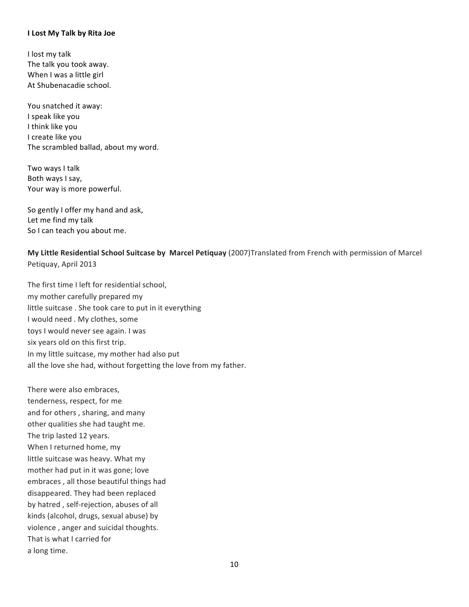#### **I Lost My Talk by Rita Joe**

I lost my talk The talk you took away. When I was a little girl At Shubenacadie school.

You snatched it away: I speak like you I think like you I create like you The scrambled ballad, about my word.

Two ways I talk Both ways I say, Your way is more powerful.

So gently I offer my hand and ask, Let me find my talk So I can teach you about me.

**My Little Residential School Suitcase by Marcel Petiquay** (2007)Translated from French with permission of Marcel Petiquay, April 2013

The first time I left for residential school, my mother carefully prepared my little suitcase . She took care to put in it everything I would need . My clothes, some toys I would never see again. I was six years old on this first trip. In my little suitcase, my mother had also put all the love she had, without forgetting the love from my father.

There were also embraces, tenderness, respect, for me and for others, sharing, and many other qualities she had taught me. The trip lasted 12 years. When I returned home, my little suitcase was heavy. What my mother had put in it was gone; love embraces, all those beautiful things had disappeared. They had been replaced by hatred, self-rejection, abuses of all kinds (alcohol, drugs, sexual abuse) by violence, anger and suicidal thoughts. That is what I carried for a long time.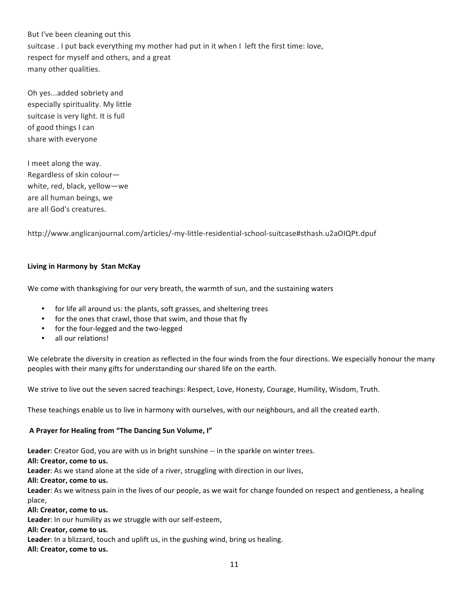But I've been cleaning out this suitcase . I put back everything my mother had put in it when I left the first time: love, respect for myself and others, and a great many other qualities.

Oh yes...added sobriety and especially spirituality. My little suitcase is very light. It is full of good things I can share with everyone

I meet along the way. Regardless of skin colourwhite, red, black, yellow-we are all human beings, we are all God's creatures.

http://www.anglicanjournal.com/articles/-my-little-residential-school-suitcase#sthash.u2aOIQPt.dpuf

## **Living in Harmony by Stan McKay**

We come with thanksgiving for our very breath, the warmth of sun, and the sustaining waters

- for life all around us: the plants, soft grasses, and sheltering trees
- for the ones that crawl, those that swim, and those that fly
- for the four-legged and the two-legged
- all our relations!

We celebrate the diversity in creation as reflected in the four winds from the four directions. We especially honour the many peoples with their many gifts for understanding our shared life on the earth.

We strive to live out the seven sacred teachings: Respect, Love, Honesty, Courage, Humility, Wisdom, Truth.

These teachings enable us to live in harmony with ourselves, with our neighbours, and all the created earth.

#### A Prayer for Healing from "The Dancing Sun Volume, I"

Leader: Creator God, you are with us in bright sunshine -- in the sparkle on winter trees.

All: Creator, come to us.

Leader: As we stand alone at the side of a river, struggling with direction in our lives,

All: Creator, come to us.

Leader: As we witness pain in the lives of our people, as we wait for change founded on respect and gentleness, a healing place,

All: Creator, come to us.

Leader: In our humility as we struggle with our self-esteem,

#### All: Creator, come to us.

Leader: In a blizzard, touch and uplift us, in the gushing wind, bring us healing.

All: Creator, come to us.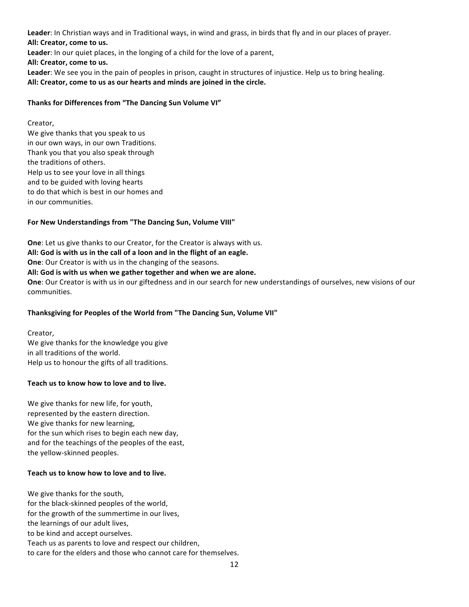Leader: In Christian ways and in Traditional ways, in wind and grass, in birds that fly and in our places of prayer. All: Creator, come to us. **Leader:** In our quiet places, in the longing of a child for the love of a parent, All: Creator, come to us. Leader: We see you in the pain of peoples in prison, caught in structures of injustice. Help us to bring healing. All: Creator, come to us as our hearts and minds are joined in the circle.

#### Thanks for Differences from "The Dancing Sun Volume VI"

#### Creator,

We give thanks that you speak to us in our own ways, in our own Traditions. Thank you that you also speak through the traditions of others. Help us to see your love in all things and to be guided with loving hearts to do that which is best in our homes and in our communities.

## For New Understandings from "The Dancing Sun, Volume VIII"

**One**: Let us give thanks to our Creator, for the Creator is always with us. All: God is with us in the call of a loon and in the flight of an eagle. **One**: Our Creator is with us in the changing of the seasons. All: God is with us when we gather together and when we are alone. **One**: Our Creator is with us in our giftedness and in our search for new understandings of ourselves, new visions of our communities.

## Thanksgiving for Peoples of the World from "The Dancing Sun, Volume VII"

Creator, We give thanks for the knowledge you give in all traditions of the world. Help us to honour the gifts of all traditions.

#### Teach us to know how to love and to live.

We give thanks for new life, for youth, represented by the eastern direction. We give thanks for new learning, for the sun which rises to begin each new day, and for the teachings of the peoples of the east, the yellow-skinned peoples.

## Teach us to know how to love and to live.

We give thanks for the south, for the black-skinned peoples of the world, for the growth of the summertime in our lives, the learnings of our adult lives, to be kind and accept ourselves. Teach us as parents to love and respect our children, to care for the elders and those who cannot care for themselves.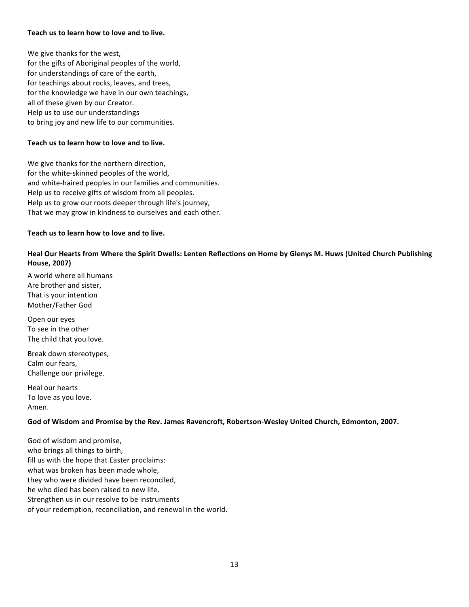#### Teach us to learn how to love and to live.

We give thanks for the west, for the gifts of Aboriginal peoples of the world, for understandings of care of the earth, for teachings about rocks, leaves, and trees, for the knowledge we have in our own teachings, all of these given by our Creator. Help us to use our understandings to bring joy and new life to our communities.

#### Teach us to learn how to love and to live.

We give thanks for the northern direction, for the white-skinned peoples of the world, and white-haired peoples in our families and communities. Help us to receive gifts of wisdom from all peoples. Help us to grow our roots deeper through life's journey, That we may grow in kindness to ourselves and each other.

#### Teach us to learn how to love and to live.

#### Heal Our Hearts from Where the Spirit Dwells: Lenten Reflections on Home by Glenys M. Huws (United Church Publishing **House,\*2007)**

A world where all humans Are brother and sister. That is your intention Mother/Father God

Open our eyes To see in the other The child that you love.

Break down stereotypes, Calm our fears, Challenge our privilege.

Heal our hearts To love as you love. Amen.

## God of Wisdom and Promise by the Rev. James Ravencroft, Robertson-Wesley United Church, Edmonton, 2007.

God of wisdom and promise, who brings all things to birth, fill us with the hope that Easter proclaims: what was broken has been made whole, they who were divided have been reconciled, he who died has been raised to new life. Strengthen us in our resolve to be instruments of your redemption, reconciliation, and renewal in the world.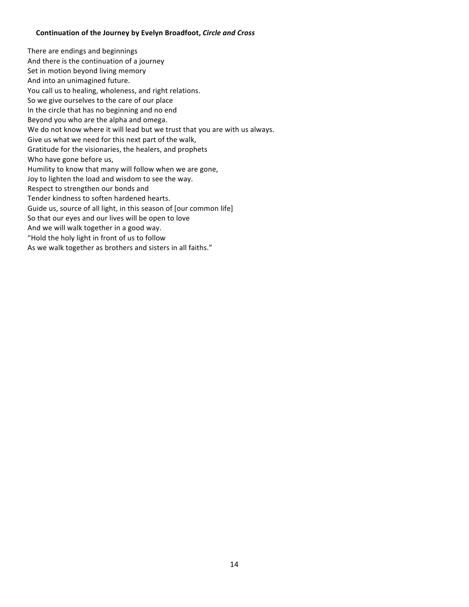#### **Continuation\*of\*the\*Journey by\*Evelyn\*Broadfoot,** *Circle)and)Cross)*

There are endings and beginnings And there is the continuation of a journey Set in motion beyond living memory And into an unimagined future. You call us to healing, wholeness, and right relations. So we give ourselves to the care of our place In the circle that has no beginning and no end Beyond you who are the alpha and omega. We do not know where it will lead but we trust that you are with us always. Give us what we need for this next part of the walk, Gratitude for the visionaries, the healers, and prophets Who have gone before us, Humility to know that many will follow when we are gone, Joy to lighten the load and wisdom to see the way. Respect to strengthen our bonds and Tender kindness to soften hardened hearts. Guide us, source of all light, in this season of [our common life] So that our eyes and our lives will be open to love And we will walk together in a good way. "Hold the holy light in front of us to follow As we walk together as brothers and sisters in all faiths."